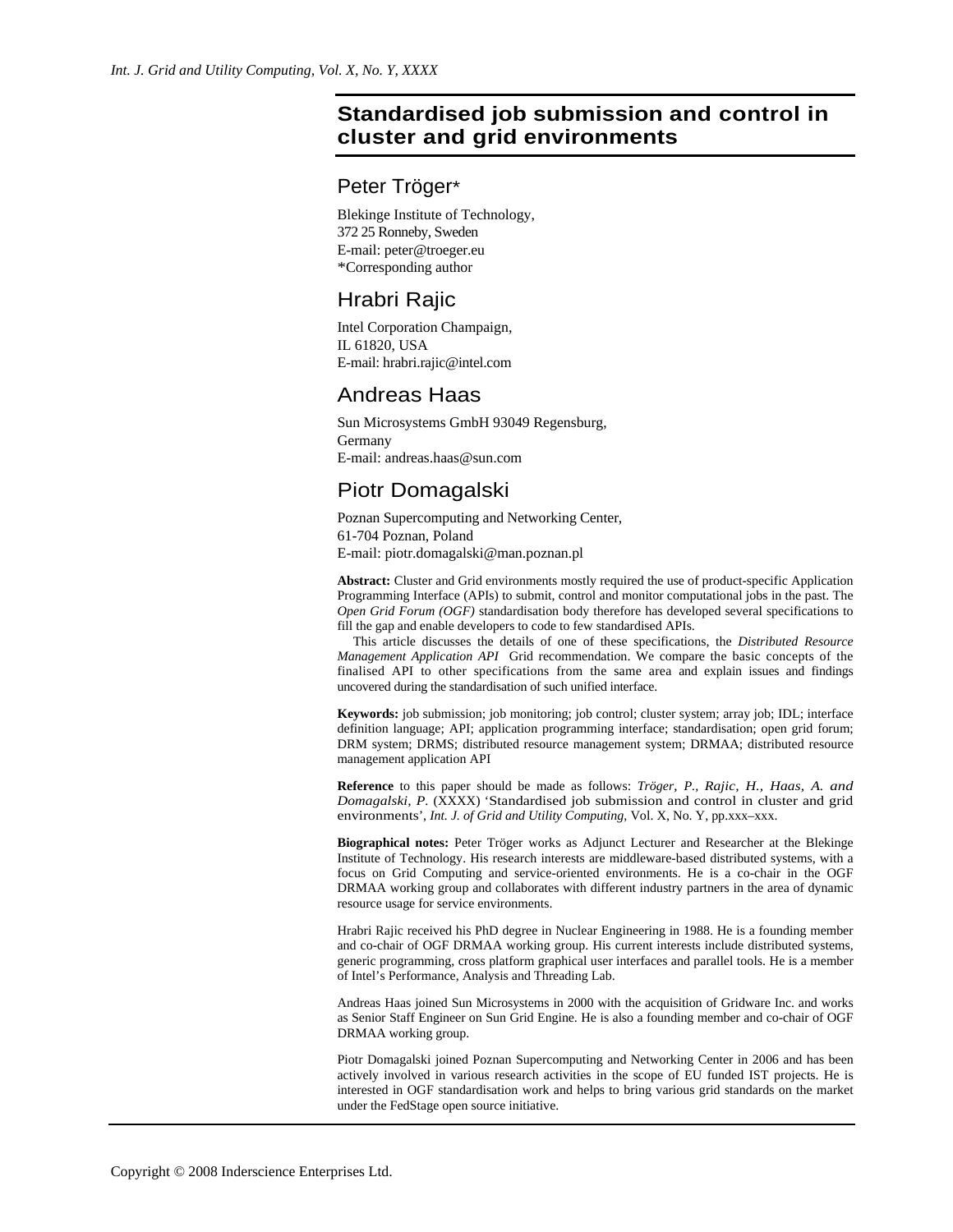# **Standardised job submission and control in cluster and grid environments**

## Peter Tröger\*

Blekinge Institute of Technology, 372 25 Ronneby, Sweden E-mail: peter@troeger.eu \*Corresponding author

# Hrabri Rajic

Intel Corporation Champaign, IL 61820, USA E-mail: hrabri.rajic@intel.com

# Andreas Haas

Sun Microsystems GmbH 93049 Regensburg, Germany E-mail: andreas.haas@sun.com

# Piotr Domagalski

Poznan Supercomputing and Networking Center, 61-704 Poznan, Poland E-mail: piotr.domagalski@man.poznan.pl

**Abstract:** Cluster and Grid environments mostly required the use of product-specific Application Programming Interface (APIs) to submit, control and monitor computational jobs in the past. The *Open Grid Forum (OGF)* standardisation body therefore has developed several specifications to fill the gap and enable developers to code to few standardised APIs.

This article discusses the details of one of these specifications, the *Distributed Resource Management Application API* Grid recommendation. We compare the basic concepts of the finalised API to other specifications from the same area and explain issues and findings uncovered during the standardisation of such unified interface.

**Keywords:** job submission; job monitoring; job control; cluster system; array job; IDL; interface definition language; API; application programming interface; standardisation; open grid forum; DRM system; DRMS; distributed resource management system; DRMAA; distributed resource management application API

**Reference** to this paper should be made as follows: *Tröger, P., Rajic, H., Haas, A. and Domagalski, P.* (XXXX) 'Standardised job submission and control in cluster and grid environments', *Int. J. of Grid and Utility Computing*, Vol. X, No. Y, pp.xxx–xxx.

**Biographical notes:** Peter Tröger works as Adjunct Lecturer and Researcher at the Blekinge Institute of Technology. His research interests are middleware-based distributed systems, with a focus on Grid Computing and service-oriented environments. He is a co-chair in the OGF DRMAA working group and collaborates with different industry partners in the area of dynamic resource usage for service environments.

Hrabri Rajic received his PhD degree in Nuclear Engineering in 1988. He is a founding member and co-chair of OGF DRMAA working group. His current interests include distributed systems, generic programming, cross platform graphical user interfaces and parallel tools. He is a member of Intel's Performance, Analysis and Threading Lab.

Andreas Haas joined Sun Microsystems in 2000 with the acquisition of Gridware Inc. and works as Senior Staff Engineer on Sun Grid Engine. He is also a founding member and co-chair of OGF DRMAA working group.

Piotr Domagalski joined Poznan Supercomputing and Networking Center in 2006 and has been actively involved in various research activities in the scope of EU funded IST projects. He is interested in OGF standardisation work and helps to bring various grid standards on the market under the FedStage open source initiative.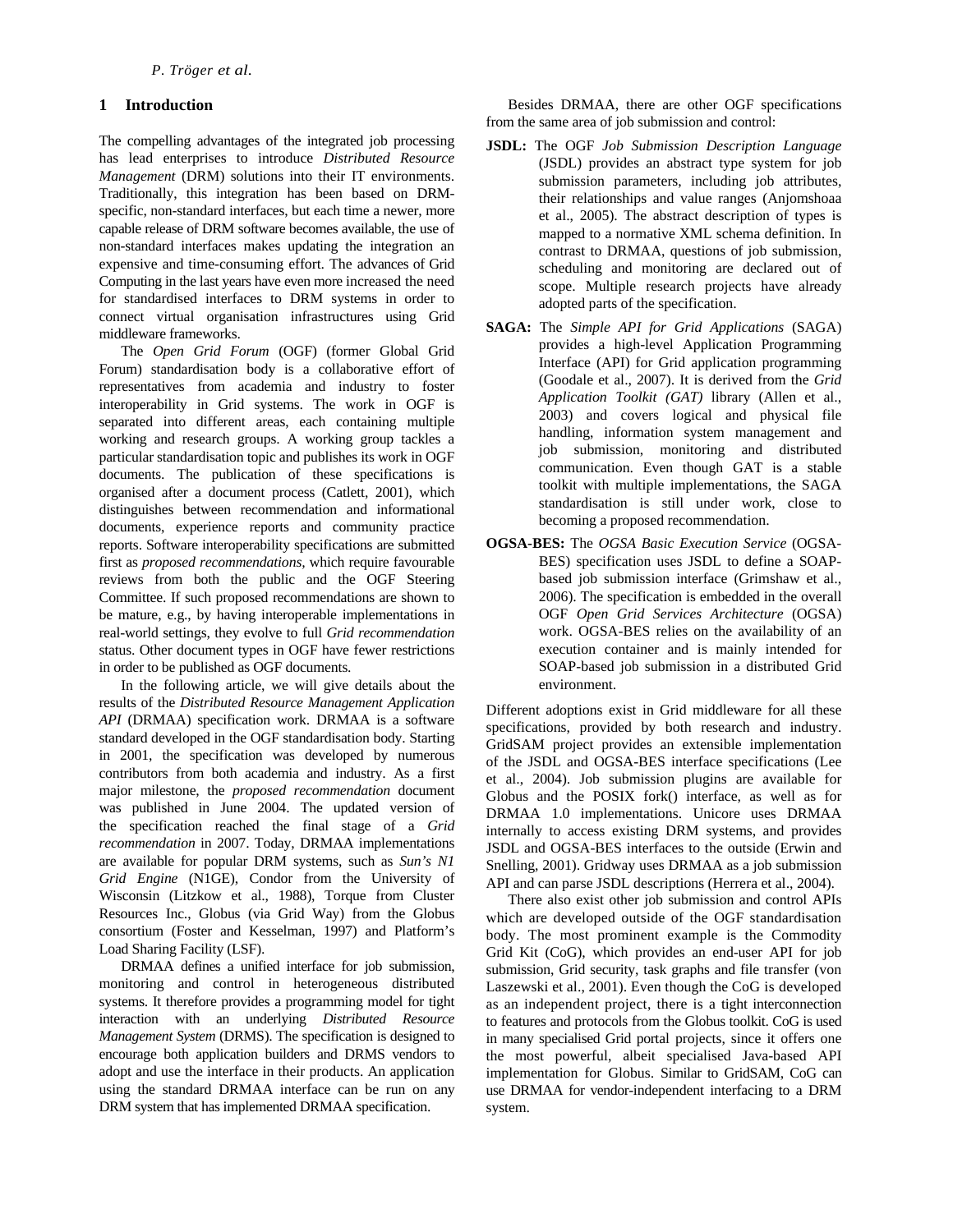### **1 Introduction**

The compelling advantages of the integrated job processing has lead enterprises to introduce *Distributed Resource Management* (DRM) solutions into their IT environments. Traditionally, this integration has been based on DRMspecific, non-standard interfaces, but each time a newer, more capable release of DRM software becomes available, the use of non-standard interfaces makes updating the integration an expensive and time-consuming effort. The advances of Grid Computing in the last years have even more increased the need for standardised interfaces to DRM systems in order to connect virtual organisation infrastructures using Grid middleware frameworks.

The *Open Grid Forum* (OGF) (former Global Grid Forum) standardisation body is a collaborative effort of representatives from academia and industry to foster interoperability in Grid systems. The work in OGF is separated into different areas, each containing multiple working and research groups. A working group tackles a particular standardisation topic and publishes its work in OGF documents. The publication of these specifications is organised after a document process (Catlett, 2001), which distinguishes between recommendation and informational documents, experience reports and community practice reports. Software interoperability specifications are submitted first as *proposed recommendations,* which require favourable reviews from both the public and the OGF Steering Committee. If such proposed recommendations are shown to be mature, e.g., by having interoperable implementations in real-world settings, they evolve to full *Grid recommendation*  status. Other document types in OGF have fewer restrictions in order to be published as OGF documents.

In the following article, we will give details about the results of the *Distributed Resource Management Application API* (DRMAA) specification work. DRMAA is a software standard developed in the OGF standardisation body. Starting in 2001, the specification was developed by numerous contributors from both academia and industry. As a first major milestone, the *proposed recommendation* document was published in June 2004. The updated version of the specification reached the final stage of a *Grid recommendation* in 2007. Today, DRMAA implementations are available for popular DRM systems, such as *Sun's N1 Grid Engine* (N1GE), Condor from the University of Wisconsin (Litzkow et al., 1988), Torque from Cluster Resources Inc., Globus (via Grid Way) from the Globus consortium (Foster and Kesselman, 1997) and Platform's Load Sharing Facility (LSF).

DRMAA defines a unified interface for job submission, monitoring and control in heterogeneous distributed systems. It therefore provides a programming model for tight interaction with an underlying *Distributed Resource Management System* (DRMS). The specification is designed to encourage both application builders and DRMS vendors to adopt and use the interface in their products. An application using the standard DRMAA interface can be run on any DRM system that has implemented DRMAA specification.

Besides DRMAA, there are other OGF specifications from the same area of job submission and control:

- **JSDL:** The OGF *Job Submission Description Language*  (JSDL) provides an abstract type system for job submission parameters, including job attributes, their relationships and value ranges (Anjomshoaa et al., 2005). The abstract description of types is mapped to a normative XML schema definition. In contrast to DRMAA, questions of job submission, scheduling and monitoring are declared out of scope. Multiple research projects have already adopted parts of the specification.
- **SAGA:** The *Simple API for Grid Applications* (SAGA) provides a high-level Application Programming Interface (API) for Grid application programming (Goodale et al., 2007). It is derived from the *Grid Application Toolkit (GAT)* library (Allen et al., 2003) and covers logical and physical file handling, information system management and job submission, monitoring and distributed communication. Even though GAT is a stable toolkit with multiple implementations, the SAGA standardisation is still under work, close to becoming a proposed recommendation.
- **OGSA-BES:** The *OGSA Basic Execution Service* (OGSA-BES) specification uses JSDL to define a SOAPbased job submission interface (Grimshaw et al., 2006). The specification is embedded in the overall OGF *Open Grid Services Architecture* (OGSA) work. OGSA-BES relies on the availability of an execution container and is mainly intended for SOAP-based job submission in a distributed Grid environment.

Different adoptions exist in Grid middleware for all these specifications, provided by both research and industry. GridSAM project provides an extensible implementation of the JSDL and OGSA-BES interface specifications (Lee et al., 2004). Job submission plugins are available for Globus and the POSIX fork() interface, as well as for DRMAA 1.0 implementations. Unicore uses DRMAA internally to access existing DRM systems, and provides JSDL and OGSA-BES interfaces to the outside (Erwin and Snelling, 2001). Gridway uses DRMAA as a job submission API and can parse JSDL descriptions (Herrera et al., 2004).

There also exist other job submission and control APIs which are developed outside of the OGF standardisation body. The most prominent example is the Commodity Grid Kit (CoG), which provides an end-user API for job submission, Grid security, task graphs and file transfer (von Laszewski et al., 2001). Even though the CoG is developed as an independent project, there is a tight interconnection to features and protocols from the Globus toolkit. CoG is used in many specialised Grid portal projects, since it offers one the most powerful, albeit specialised Java-based API implementation for Globus. Similar to GridSAM, CoG can use DRMAA for vendor-independent interfacing to a DRM system.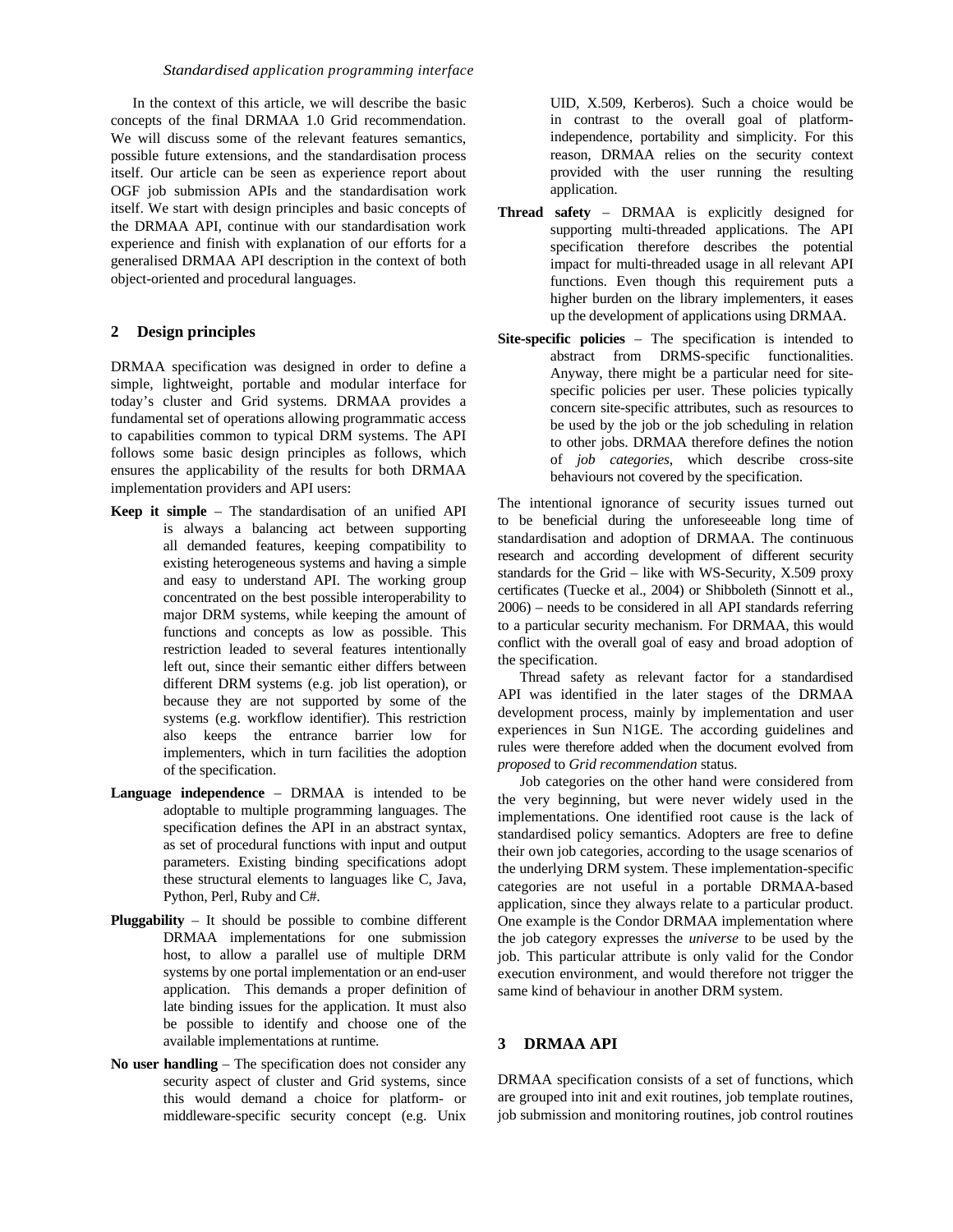#### *Standardised application programming interface*

In the context of this article, we will describe the basic concepts of the final DRMAA 1.0 Grid recommendation. We will discuss some of the relevant features semantics, possible future extensions, and the standardisation process itself. Our article can be seen as experience report about OGF job submission APIs and the standardisation work itself. We start with design principles and basic concepts of the DRMAA API, continue with our standardisation work experience and finish with explanation of our efforts for a generalised DRMAA API description in the context of both object-oriented and procedural languages.

### **2 Design principles**

DRMAA specification was designed in order to define a simple, lightweight, portable and modular interface for today's cluster and Grid systems. DRMAA provides a fundamental set of operations allowing programmatic access to capabilities common to typical DRM systems. The API follows some basic design principles as follows, which ensures the applicability of the results for both DRMAA implementation providers and API users:

- **Keep it simple**  The standardisation of an unified API is always a balancing act between supporting all demanded features, keeping compatibility to existing heterogeneous systems and having a simple and easy to understand API. The working group concentrated on the best possible interoperability to major DRM systems, while keeping the amount of functions and concepts as low as possible. This restriction leaded to several features intentionally left out, since their semantic either differs between different DRM systems (e.g. job list operation), or because they are not supported by some of the systems (e.g. workflow identifier). This restriction also keeps the entrance barrier low for implementers, which in turn facilities the adoption of the specification.
- **Language independence**  DRMAA is intended to be adoptable to multiple programming languages. The specification defines the API in an abstract syntax, as set of procedural functions with input and output parameters. Existing binding specifications adopt these structural elements to languages like C, Java, Python, Perl, Ruby and C#.
- **Pluggability**  It should be possible to combine different DRMAA implementations for one submission host, to allow a parallel use of multiple DRM systems by one portal implementation or an end-user application. This demands a proper definition of late binding issues for the application. It must also be possible to identify and choose one of the available implementations at runtime.
- **No user handling**  The specification does not consider any security aspect of cluster and Grid systems, since this would demand a choice for platform- or middleware-specific security concept (e.g. Unix

UID, X.509, Kerberos). Such a choice would be in contrast to the overall goal of platformindependence, portability and simplicity. For this reason, DRMAA relies on the security context provided with the user running the resulting application.

- **Thread safety**  DRMAA is explicitly designed for supporting multi-threaded applications. The API specification therefore describes the potential impact for multi-threaded usage in all relevant API functions. Even though this requirement puts a higher burden on the library implementers, it eases up the development of applications using DRMAA.
- **Site-specific policies**  The specification is intended to abstract from DRMS-specific functionalities. Anyway, there might be a particular need for sitespecific policies per user. These policies typically concern site-specific attributes, such as resources to be used by the job or the job scheduling in relation to other jobs. DRMAA therefore defines the notion of *job categories*, which describe cross-site behaviours not covered by the specification.

The intentional ignorance of security issues turned out to be beneficial during the unforeseeable long time of standardisation and adoption of DRMAA. The continuous research and according development of different security standards for the Grid – like with WS-Security, X.509 proxy certificates (Tuecke et al., 2004) or Shibboleth (Sinnott et al., 2006) – needs to be considered in all API standards referring to a particular security mechanism. For DRMAA, this would conflict with the overall goal of easy and broad adoption of the specification.

Thread safety as relevant factor for a standardised API was identified in the later stages of the DRMAA development process, mainly by implementation and user experiences in Sun N1GE. The according guidelines and rules were therefore added when the document evolved from *proposed* to *Grid recommendation* status.

Job categories on the other hand were considered from the very beginning, but were never widely used in the implementations. One identified root cause is the lack of standardised policy semantics. Adopters are free to define their own job categories, according to the usage scenarios of the underlying DRM system. These implementation-specific categories are not useful in a portable DRMAA-based application, since they always relate to a particular product. One example is the Condor DRMAA implementation where the job category expresses the *universe* to be used by the job. This particular attribute is only valid for the Condor execution environment, and would therefore not trigger the same kind of behaviour in another DRM system.

### **3 DRMAA API**

DRMAA specification consists of a set of functions, which are grouped into init and exit routines, job template routines, job submission and monitoring routines, job control routines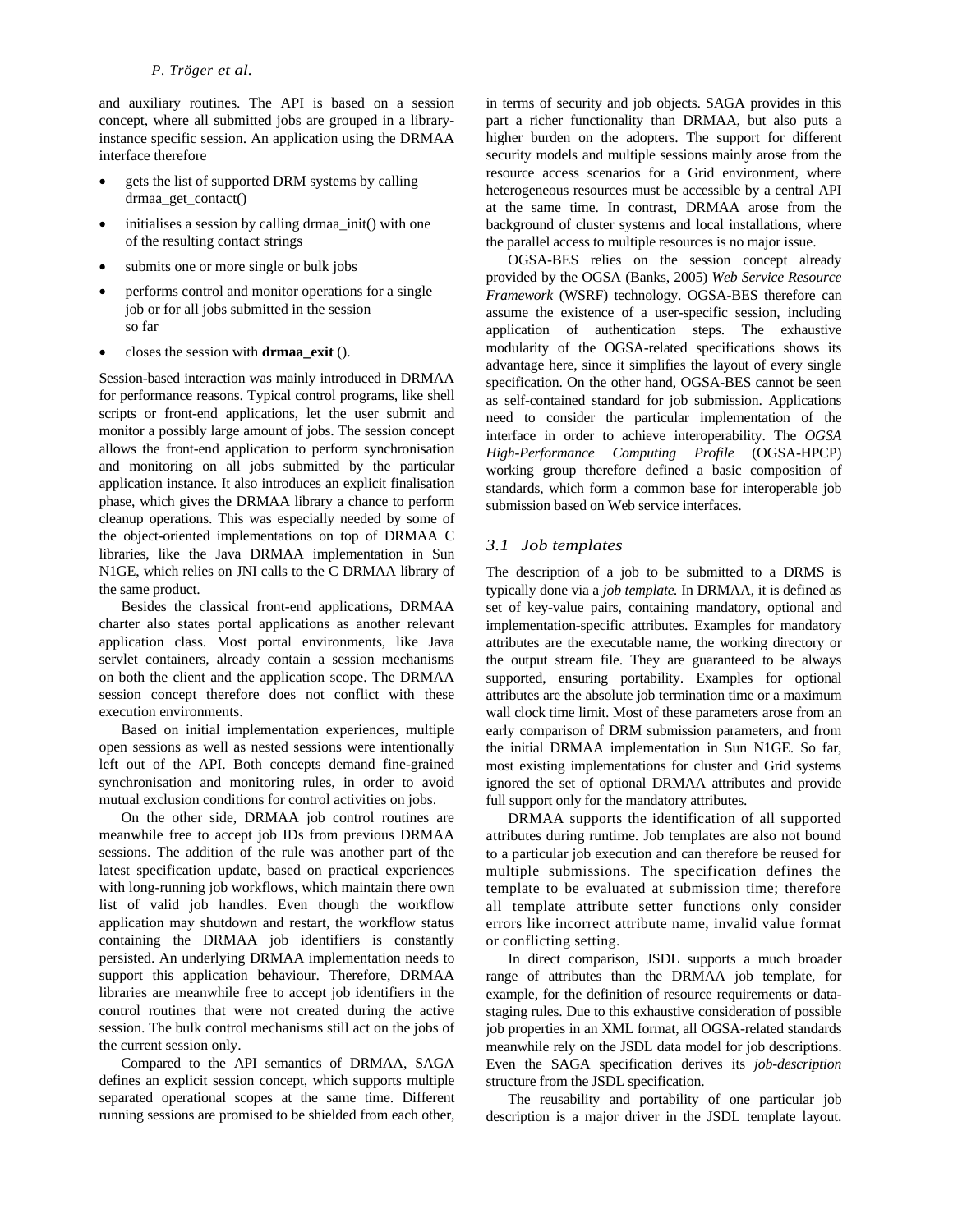and auxiliary routines. The API is based on a session concept, where all submitted jobs are grouped in a libraryinstance specific session. An application using the DRMAA interface therefore

- gets the list of supported DRM systems by calling drmaa\_get\_contact()
- initialises a session by calling drmaa\_init() with one of the resulting contact strings
- submits one or more single or bulk jobs
- performs control and monitor operations for a single job or for all jobs submitted in the session so far
- closes the session with **drmaa\_exit** ().

Session-based interaction was mainly introduced in DRMAA for performance reasons. Typical control programs, like shell scripts or front-end applications, let the user submit and monitor a possibly large amount of jobs. The session concept allows the front-end application to perform synchronisation and monitoring on all jobs submitted by the particular application instance. It also introduces an explicit finalisation phase, which gives the DRMAA library a chance to perform cleanup operations. This was especially needed by some of the object-oriented implementations on top of DRMAA C libraries, like the Java DRMAA implementation in Sun N1GE, which relies on JNI calls to the C DRMAA library of the same product.

Besides the classical front-end applications, DRMAA charter also states portal applications as another relevant application class. Most portal environments, like Java servlet containers, already contain a session mechanisms on both the client and the application scope. The DRMAA session concept therefore does not conflict with these execution environments.

Based on initial implementation experiences, multiple open sessions as well as nested sessions were intentionally left out of the API. Both concepts demand fine-grained synchronisation and monitoring rules, in order to avoid mutual exclusion conditions for control activities on jobs.

On the other side, DRMAA job control routines are meanwhile free to accept job IDs from previous DRMAA sessions. The addition of the rule was another part of the latest specification update, based on practical experiences with long-running job workflows, which maintain there own list of valid job handles. Even though the workflow application may shutdown and restart, the workflow status containing the DRMAA job identifiers is constantly persisted. An underlying DRMAA implementation needs to support this application behaviour. Therefore, DRMAA libraries are meanwhile free to accept job identifiers in the control routines that were not created during the active session. The bulk control mechanisms still act on the jobs of the current session only.

Compared to the API semantics of DRMAA, SAGA defines an explicit session concept, which supports multiple separated operational scopes at the same time. Different running sessions are promised to be shielded from each other, in terms of security and job objects. SAGA provides in this part a richer functionality than DRMAA, but also puts a higher burden on the adopters. The support for different security models and multiple sessions mainly arose from the resource access scenarios for a Grid environment, where heterogeneous resources must be accessible by a central API at the same time. In contrast, DRMAA arose from the background of cluster systems and local installations, where the parallel access to multiple resources is no major issue.

OGSA-BES relies on the session concept already provided by the OGSA (Banks, 2005) *Web Service Resource Framework* (WSRF) technology. OGSA-BES therefore can assume the existence of a user-specific session, including application of authentication steps. The exhaustive modularity of the OGSA-related specifications shows its advantage here, since it simplifies the layout of every single specification. On the other hand, OGSA-BES cannot be seen as self-contained standard for job submission. Applications need to consider the particular implementation of the interface in order to achieve interoperability. The *OGSA High-Performance Computing Profile* (OGSA-HPCP) working group therefore defined a basic composition of standards, which form a common base for interoperable job submission based on Web service interfaces.

#### *3.1 Job templates*

The description of a job to be submitted to a DRMS is typically done via a *job template.* In DRMAA, it is defined as set of key-value pairs, containing mandatory, optional and implementation-specific attributes. Examples for mandatory attributes are the executable name, the working directory or the output stream file. They are guaranteed to be always supported, ensuring portability. Examples for optional attributes are the absolute job termination time or a maximum wall clock time limit. Most of these parameters arose from an early comparison of DRM submission parameters, and from the initial DRMAA implementation in Sun N1GE. So far, most existing implementations for cluster and Grid systems ignored the set of optional DRMAA attributes and provide full support only for the mandatory attributes.

DRMAA supports the identification of all supported attributes during runtime. Job templates are also not bound to a particular job execution and can therefore be reused for multiple submissions. The specification defines the template to be evaluated at submission time; therefore all template attribute setter functions only consider errors like incorrect attribute name, invalid value format or conflicting setting.

In direct comparison, JSDL supports a much broader range of attributes than the DRMAA job template, for example, for the definition of resource requirements or datastaging rules. Due to this exhaustive consideration of possible job properties in an XML format, all OGSA-related standards meanwhile rely on the JSDL data model for job descriptions. Even the SAGA specification derives its *job-description*  structure from the JSDL specification.

The reusability and portability of one particular job description is a major driver in the JSDL template layout.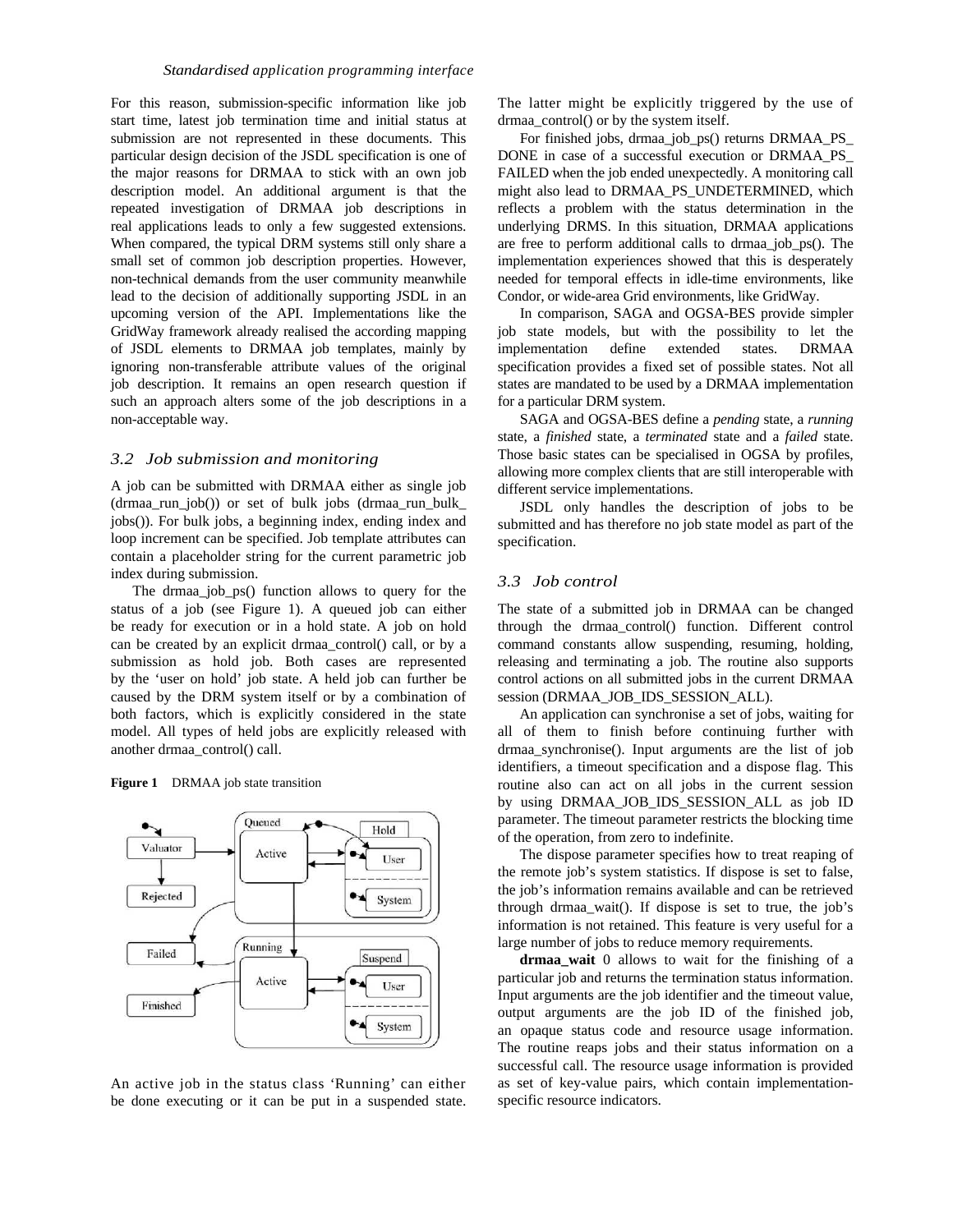#### *Standardised application programming interface*

For this reason, submission-specific information like job start time, latest job termination time and initial status at submission are not represented in these documents. This particular design decision of the JSDL specification is one of the major reasons for DRMAA to stick with an own job description model. An additional argument is that the repeated investigation of DRMAA job descriptions in real applications leads to only a few suggested extensions. When compared, the typical DRM systems still only share a small set of common job description properties. However, non-technical demands from the user community meanwhile lead to the decision of additionally supporting JSDL in an upcoming version of the API. Implementations like the GridWay framework already realised the according mapping of JSDL elements to DRMAA job templates, mainly by ignoring non-transferable attribute values of the original job description. It remains an open research question if such an approach alters some of the job descriptions in a non-acceptable way.

#### *3.2 Job submission and monitoring*

A job can be submitted with DRMAA either as single job (drmaa\_run\_job()) or set of bulk jobs (drmaa\_run\_bulk\_ jobs()). For bulk jobs, a beginning index, ending index and loop increment can be specified. Job template attributes can contain a placeholder string for the current parametric job index during submission.

The drmaa\_job\_ps() function allows to query for the status of a job (see Figure 1). A queued job can either be ready for execution or in a hold state. A job on hold can be created by an explicit drmaa\_control() call, or by a submission as hold job. Both cases are represented by the 'user on hold' job state. A held job can further be caused by the DRM system itself or by a combination of both factors, which is explicitly considered in the state model. All types of held jobs are explicitly released with another drmaa\_control() call.



#### **Figure 1** DRMAA job state transition

An active job in the status class 'Running' can either be done executing or it can be put in a suspended state. The latter might be explicitly triggered by the use of drmaa\_control() or by the system itself.

For finished jobs, drmaa\_job\_ps() returns DRMAA\_PS\_ DONE in case of a successful execution or DRMAA\_PS\_ FAILED when the job ended unexpectedly. A monitoring call might also lead to DRMAA\_PS\_UNDETERMINED, which reflects a problem with the status determination in the underlying DRMS. In this situation, DRMAA applications are free to perform additional calls to drmaa\_job\_ps(). The implementation experiences showed that this is desperately needed for temporal effects in idle-time environments, like Condor, or wide-area Grid environments, like GridWay.

In comparison, SAGA and OGSA-BES provide simpler job state models, but with the possibility to let the implementation define extended states. DRMAA specification provides a fixed set of possible states. Not all states are mandated to be used by a DRMAA implementation for a particular DRM system.

SAGA and OGSA-BES define a *pending* state, a *running*  state, a *finished* state, a *terminated* state and a *failed* state. Those basic states can be specialised in OGSA by profiles, allowing more complex clients that are still interoperable with different service implementations.

JSDL only handles the description of jobs to be submitted and has therefore no job state model as part of the specification.

### *3.3 Job control*

The state of a submitted job in DRMAA can be changed through the drmaa\_control() function. Different control command constants allow suspending, resuming, holding, releasing and terminating a job. The routine also supports control actions on all submitted jobs in the current DRMAA session (DRMAA\_JOB\_IDS\_SESSION\_ALL).

An application can synchronise a set of jobs, waiting for all of them to finish before continuing further with drmaa\_synchronise(). Input arguments are the list of job identifiers, a timeout specification and a dispose flag. This routine also can act on all jobs in the current session by using DRMAA\_JOB\_IDS\_SESSION\_ALL as job ID parameter. The timeout parameter restricts the blocking time of the operation, from zero to indefinite.

The dispose parameter specifies how to treat reaping of the remote job's system statistics. If dispose is set to false, the job's information remains available and can be retrieved through drmaa\_wait(). If dispose is set to true, the job's information is not retained. This feature is very useful for a large number of jobs to reduce memory requirements.

**drmaa\_wait** 0 allows to wait for the finishing of a particular job and returns the termination status information. Input arguments are the job identifier and the timeout value, output arguments are the job ID of the finished job, an opaque status code and resource usage information. The routine reaps jobs and their status information on a successful call. The resource usage information is provided as set of key-value pairs, which contain implementationspecific resource indicators.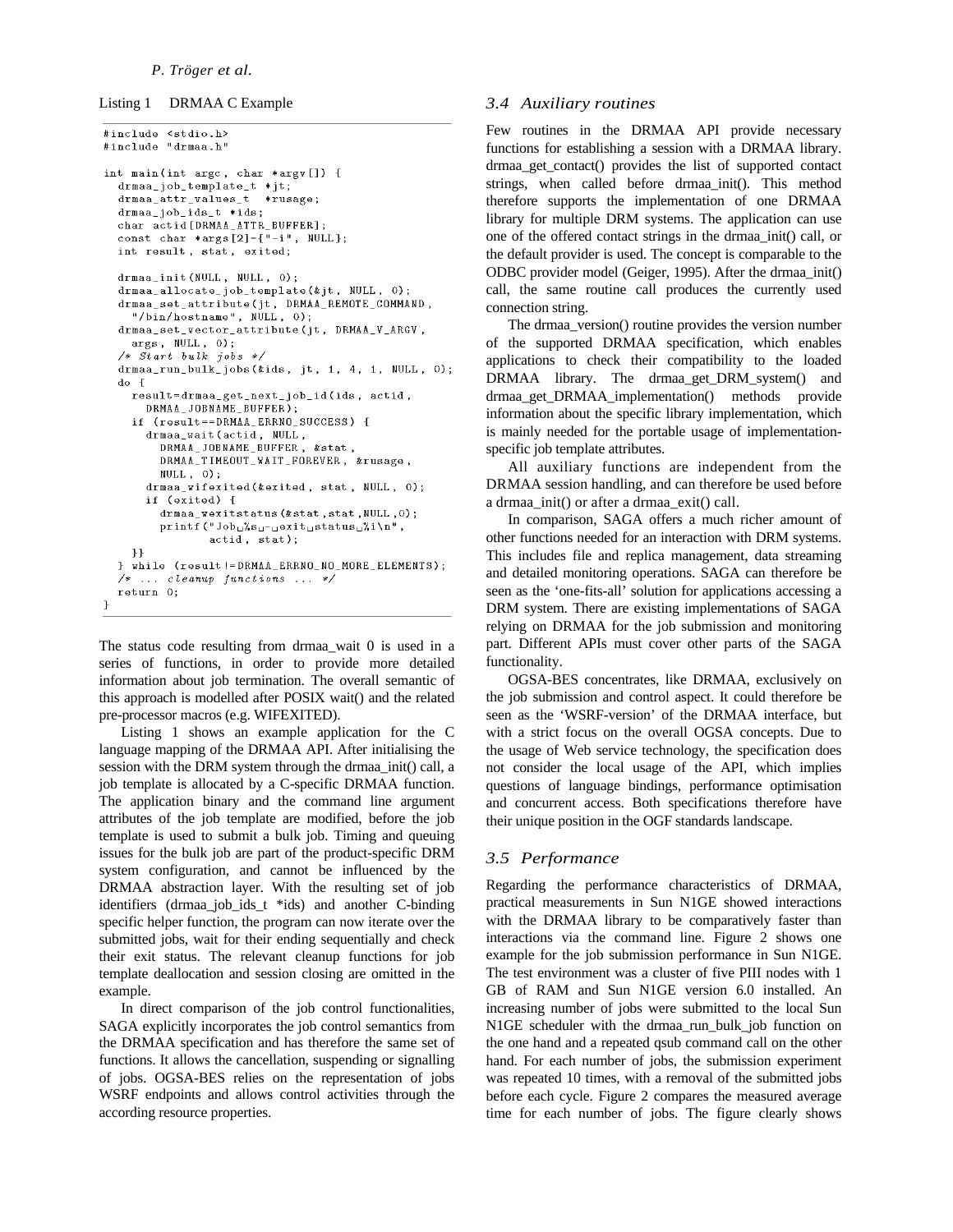#### Listing 1 DRMAA C Example

```
#include <stdio.h>
#include "drmaa.h"
int main(int argc, char *argv[]) {
  drmaa<sub>-</sub>job_template_t *jt;
  drmaa_attr_values_t *rusage;
  drmaa_job_ids_t *ids;char actid [DRMAA_ATTR_BUFFER];
  const char *args[2]={''-i", NULL};int result, stat, exited;
  drmaa_init(NULL, NULL, 0);
  drmaa_allocate_job_template(&jt, NULL, 0);
  drmaa_set_attribute(jt, DRMAA_REMOTE_COMMAND,
    "/bin/hostname", NULL, 0);drmaa_set_vector_attribute(jt, DRMAA_V_ARGV,
    args, NULL, 0);/* Start bulk jobs */{\tt drma\_run\_bulk\_jobs}~(\text{\&ids}\;,\;\;\text{jt}\;,\;\;1\;,\;\;4\;,\;\;1\;,\;\;\text{NULL}\;,\;\;0)\;;do f
    result=drmaa_get_next_job_id(ids, actid,
      DRMAA_JOBNAME_BUFFER);
    if (result==DRMAA_ERRNO_SUCCESS) {
       drmaa_wait(actid, NULL,
         DRMAA_JOBNAME_BUFFER, &stat,
         DRMAA_TIMEOUT_WAIT_FOREVER, &rusage,
         NULL, 0):
       drmaa_wifexited(&exited, stat, NULL, 0);
       if (exited) {
         drmaa_wexitstatus(&stat,stat,NULL,0);
         print('Job<sub>u</sub>%s<sub>u</sub>-<sub>u</sub>exit<sub>u</sub>status<sub>u</sub>%i\nu',actid, stat);
    \mathcal{F}} while (result!=DRMAA_ERRNO_NO_MORE_ELEMENTS);
  /* ... cleanup functions ... */
  return 0;
\overline{1}
```
The status code resulting from drmaa\_wait 0 is used in a series of functions, in order to provide more detailed information about job termination. The overall semantic of this approach is modelled after POSIX wait() and the related pre-processor macros (e.g. WIFEXITED).

Listing 1 shows an example application for the C language mapping of the DRMAA API. After initialising the session with the DRM system through the drmaa\_init() call, a job template is allocated by a C-specific DRMAA function. The application binary and the command line argument attributes of the job template are modified, before the job template is used to submit a bulk job. Timing and queuing issues for the bulk job are part of the product-specific DRM system configuration, and cannot be influenced by the DRMAA abstraction layer. With the resulting set of job identifiers (drmaa\_job\_ids\_t \*ids) and another C-binding specific helper function, the program can now iterate over the submitted jobs, wait for their ending sequentially and check their exit status. The relevant cleanup functions for job template deallocation and session closing are omitted in the example.

In direct comparison of the job control functionalities, SAGA explicitly incorporates the job control semantics from the DRMAA specification and has therefore the same set of functions. It allows the cancellation, suspending or signalling of jobs. OGSA-BES relies on the representation of jobs WSRF endpoints and allows control activities through the according resource properties.

#### *3.4 Auxiliary routines*

Few routines in the DRMAA API provide necessary functions for establishing a session with a DRMAA library. drmaa\_get\_contact() provides the list of supported contact strings, when called before drmaa\_init(). This method therefore supports the implementation of one DRMAA library for multiple DRM systems. The application can use one of the offered contact strings in the drmaa\_init() call, or the default provider is used. The concept is comparable to the ODBC provider model (Geiger, 1995). After the drmaa\_init() call, the same routine call produces the currently used connection string.

The drmaa\_version() routine provides the version number of the supported DRMAA specification, which enables applications to check their compatibility to the loaded DRMAA library. The drmaa\_get\_DRM\_system() and drmaa\_get\_DRMAA\_implementation() methods provide information about the specific library implementation, which is mainly needed for the portable usage of implementationspecific job template attributes.

All auxiliary functions are independent from the DRMAA session handling, and can therefore be used before a drmaa\_init() or after a drmaa\_exit() call.

In comparison, SAGA offers a much richer amount of other functions needed for an interaction with DRM systems. This includes file and replica management, data streaming and detailed monitoring operations. SAGA can therefore be seen as the 'one-fits-all' solution for applications accessing a DRM system. There are existing implementations of SAGA relying on DRMAA for the job submission and monitoring part. Different APIs must cover other parts of the SAGA functionality.

OGSA-BES concentrates, like DRMAA, exclusively on the job submission and control aspect. It could therefore be seen as the 'WSRF-version' of the DRMAA interface, but with a strict focus on the overall OGSA concepts. Due to the usage of Web service technology, the specification does not consider the local usage of the API, which implies questions of language bindings, performance optimisation and concurrent access. Both specifications therefore have their unique position in the OGF standards landscape.

#### *3.5 Performance*

Regarding the performance characteristics of DRMAA, practical measurements in Sun N1GE showed interactions with the DRMAA library to be comparatively faster than interactions via the command line. Figure 2 shows one example for the job submission performance in Sun N1GE. The test environment was a cluster of five PIII nodes with 1 GB of RAM and Sun N1GE version 6.0 installed. An increasing number of jobs were submitted to the local Sun N1GE scheduler with the drmaa\_run\_bulk\_job function on the one hand and a repeated qsub command call on the other hand. For each number of jobs, the submission experiment was repeated 10 times, with a removal of the submitted jobs before each cycle. Figure 2 compares the measured average time for each number of jobs. The figure clearly shows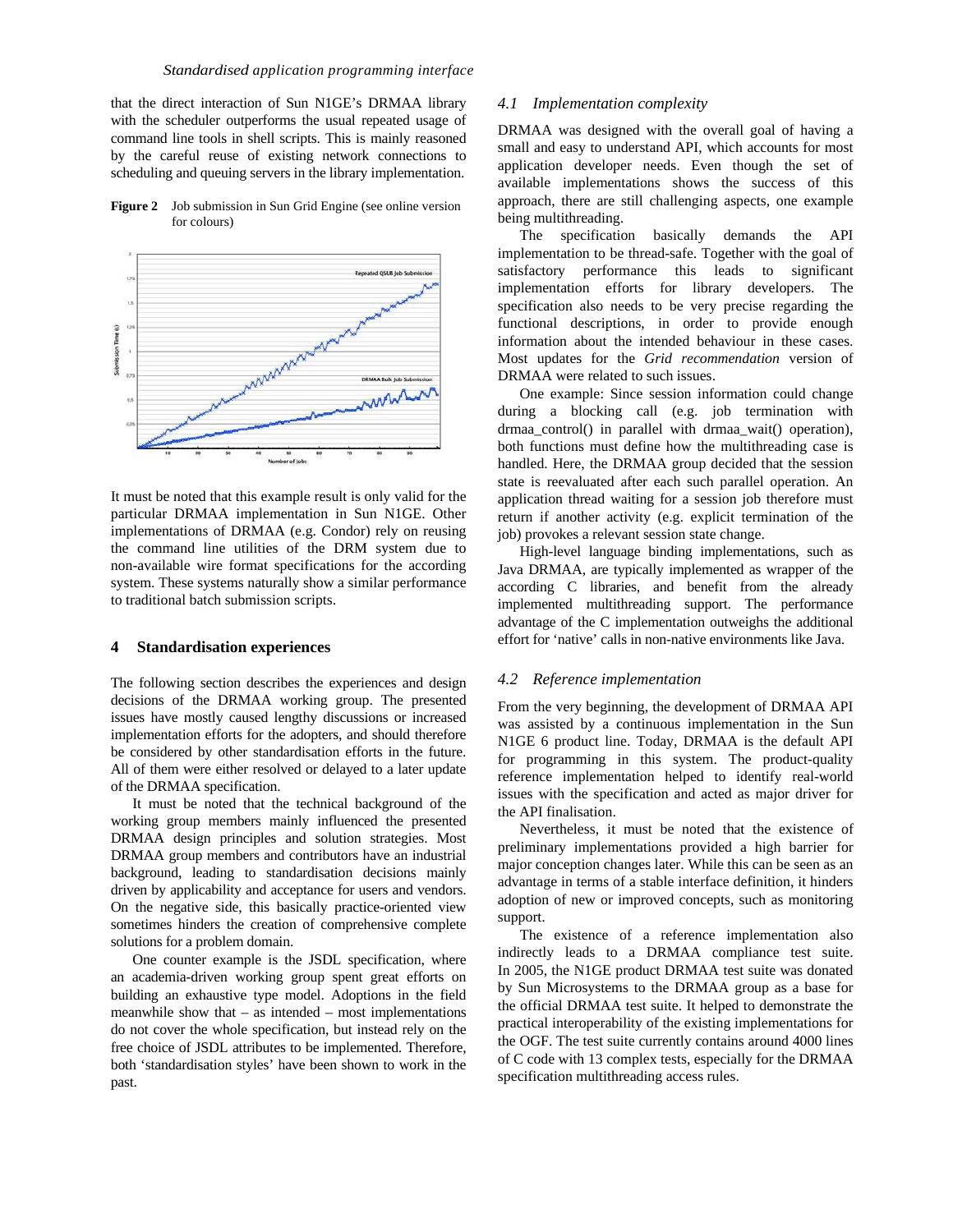that the direct interaction of Sun N1GE's DRMAA library with the scheduler outperforms the usual repeated usage of command line tools in shell scripts. This is mainly reasoned by the careful reuse of existing network connections to scheduling and queuing servers in the library implementation.

**Figure 2** Job submission in Sun Grid Engine (see online version for colours)



It must be noted that this example result is only valid for the particular DRMAA implementation in Sun N1GE. Other implementations of DRMAA (e.g. Condor) rely on reusing the command line utilities of the DRM system due to non-available wire format specifications for the according system. These systems naturally show a similar performance to traditional batch submission scripts.

#### **4 Standardisation experiences**

The following section describes the experiences and design decisions of the DRMAA working group. The presented issues have mostly caused lengthy discussions or increased implementation efforts for the adopters, and should therefore be considered by other standardisation efforts in the future. All of them were either resolved or delayed to a later update of the DRMAA specification.

It must be noted that the technical background of the working group members mainly influenced the presented DRMAA design principles and solution strategies. Most DRMAA group members and contributors have an industrial background, leading to standardisation decisions mainly driven by applicability and acceptance for users and vendors. On the negative side, this basically practice-oriented view sometimes hinders the creation of comprehensive complete solutions for a problem domain.

One counter example is the JSDL specification, where an academia-driven working group spent great efforts on building an exhaustive type model. Adoptions in the field meanwhile show that – as intended – most implementations do not cover the whole specification, but instead rely on the free choice of JSDL attributes to be implemented. Therefore, both 'standardisation styles' have been shown to work in the past.

#### *4.1 Implementation complexity*

DRMAA was designed with the overall goal of having a small and easy to understand API, which accounts for most application developer needs. Even though the set of available implementations shows the success of this approach, there are still challenging aspects, one example being multithreading.

The specification basically demands the API implementation to be thread-safe. Together with the goal of satisfactory performance this leads to significant implementation efforts for library developers. The specification also needs to be very precise regarding the functional descriptions, in order to provide enough information about the intended behaviour in these cases. Most updates for the *Grid recommendation* version of DRMAA were related to such issues.

One example: Since session information could change during a blocking call (e.g. job termination with drmaa\_control() in parallel with drmaa\_wait() operation), both functions must define how the multithreading case is handled. Here, the DRMAA group decided that the session state is reevaluated after each such parallel operation. An application thread waiting for a session job therefore must return if another activity (e.g. explicit termination of the job) provokes a relevant session state change.

High-level language binding implementations, such as Java DRMAA, are typically implemented as wrapper of the according C libraries, and benefit from the already implemented multithreading support. The performance advantage of the C implementation outweighs the additional effort for 'native' calls in non-native environments like Java.

#### *4.2 Reference implementation*

From the very beginning, the development of DRMAA API was assisted by a continuous implementation in the Sun N1GE 6 product line. Today, DRMAA is the default API for programming in this system. The product-quality reference implementation helped to identify real-world issues with the specification and acted as major driver for the API finalisation.

Nevertheless, it must be noted that the existence of preliminary implementations provided a high barrier for major conception changes later. While this can be seen as an advantage in terms of a stable interface definition, it hinders adoption of new or improved concepts, such as monitoring support.

The existence of a reference implementation also indirectly leads to a DRMAA compliance test suite. In 2005, the N1GE product DRMAA test suite was donated by Sun Microsystems to the DRMAA group as a base for the official DRMAA test suite. It helped to demonstrate the practical interoperability of the existing implementations for the OGF. The test suite currently contains around 4000 lines of C code with 13 complex tests, especially for the DRMAA specification multithreading access rules.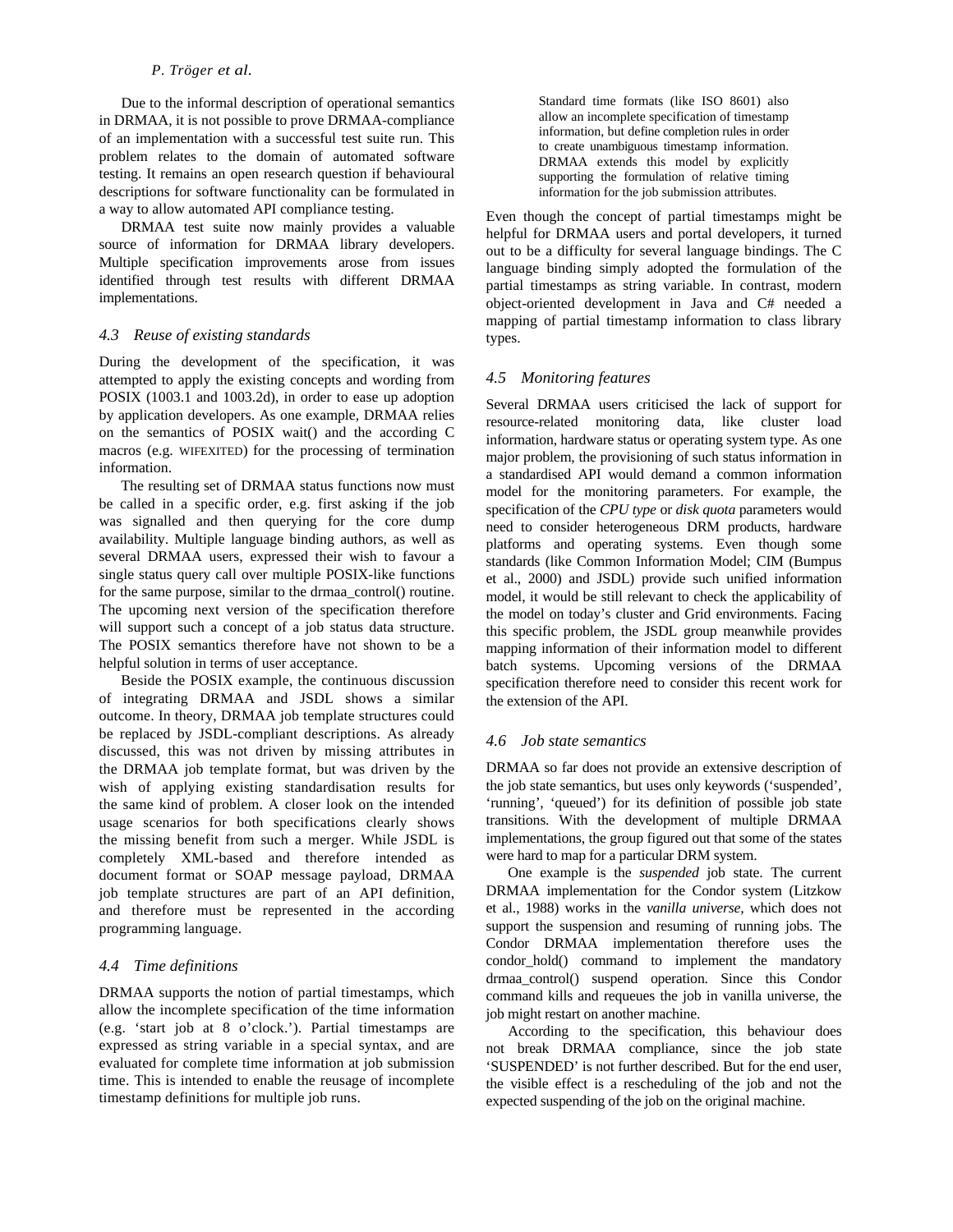Due to the informal description of operational semantics in DRMAA, it is not possible to prove DRMAA-compliance of an implementation with a successful test suite run. This problem relates to the domain of automated software testing. It remains an open research question if behavioural descriptions for software functionality can be formulated in a way to allow automated API compliance testing.

DRMAA test suite now mainly provides a valuable source of information for DRMAA library developers. Multiple specification improvements arose from issues identified through test results with different DRMAA implementations.

#### *4.3 Reuse of existing standards*

During the development of the specification, it was attempted to apply the existing concepts and wording from POSIX (1003.1 and 1003.2d), in order to ease up adoption by application developers. As one example, DRMAA relies on the semantics of POSIX wait() and the according C macros (e.g. WIFEXITED) for the processing of termination information.

The resulting set of DRMAA status functions now must be called in a specific order, e.g. first asking if the job was signalled and then querying for the core dump availability. Multiple language binding authors, as well as several DRMAA users, expressed their wish to favour a single status query call over multiple POSIX-like functions for the same purpose, similar to the drmaa\_control() routine. The upcoming next version of the specification therefore will support such a concept of a job status data structure. The POSIX semantics therefore have not shown to be a helpful solution in terms of user acceptance.

Beside the POSIX example, the continuous discussion of integrating DRMAA and JSDL shows a similar outcome. In theory, DRMAA job template structures could be replaced by JSDL-compliant descriptions. As already discussed, this was not driven by missing attributes in the DRMAA job template format, but was driven by the wish of applying existing standardisation results for the same kind of problem. A closer look on the intended usage scenarios for both specifications clearly shows the missing benefit from such a merger. While JSDL is completely XML-based and therefore intended as document format or SOAP message payload, DRMAA job template structures are part of an API definition, and therefore must be represented in the according programming language.

### *4.4 Time definitions*

DRMAA supports the notion of partial timestamps, which allow the incomplete specification of the time information (e.g. 'start job at 8 o'clock.'). Partial timestamps are expressed as string variable in a special syntax, and are evaluated for complete time information at job submission time. This is intended to enable the reusage of incomplete timestamp definitions for multiple job runs.

Standard time formats (like ISO 8601) also allow an incomplete specification of timestamp information, but define completion rules in order to create unambiguous timestamp information. DRMAA extends this model by explicitly supporting the formulation of relative timing information for the job submission attributes.

Even though the concept of partial timestamps might be helpful for DRMAA users and portal developers, it turned out to be a difficulty for several language bindings. The C language binding simply adopted the formulation of the partial timestamps as string variable. In contrast, modern object-oriented development in Java and C# needed a mapping of partial timestamp information to class library types.

#### *4.5 Monitoring features*

Several DRMAA users criticised the lack of support for resource-related monitoring data, like cluster load information, hardware status or operating system type. As one major problem, the provisioning of such status information in a standardised API would demand a common information model for the monitoring parameters. For example, the specification of the *CPU type* or *disk quota* parameters would need to consider heterogeneous DRM products, hardware platforms and operating systems. Even though some standards (like Common Information Model; CIM (Bumpus et al., 2000) and JSDL) provide such unified information model, it would be still relevant to check the applicability of the model on today's cluster and Grid environments. Facing this specific problem, the JSDL group meanwhile provides mapping information of their information model to different batch systems. Upcoming versions of the DRMAA specification therefore need to consider this recent work for the extension of the API.

#### *4.6 Job state semantics*

DRMAA so far does not provide an extensive description of the job state semantics, but uses only keywords ('suspended', 'running', 'queued') for its definition of possible job state transitions. With the development of multiple DRMAA implementations, the group figured out that some of the states were hard to map for a particular DRM system.

One example is the *suspended* job state. The current DRMAA implementation for the Condor system (Litzkow et al., 1988) works in the *vanilla universe,* which does not support the suspension and resuming of running jobs. The Condor DRMAA implementation therefore uses the condor\_hold() command to implement the mandatory drmaa\_control() suspend operation. Since this Condor command kills and requeues the job in vanilla universe, the job might restart on another machine.

According to the specification, this behaviour does not break DRMAA compliance, since the job state 'SUSPENDED' is not further described. But for the end user, the visible effect is a rescheduling of the job and not the expected suspending of the job on the original machine.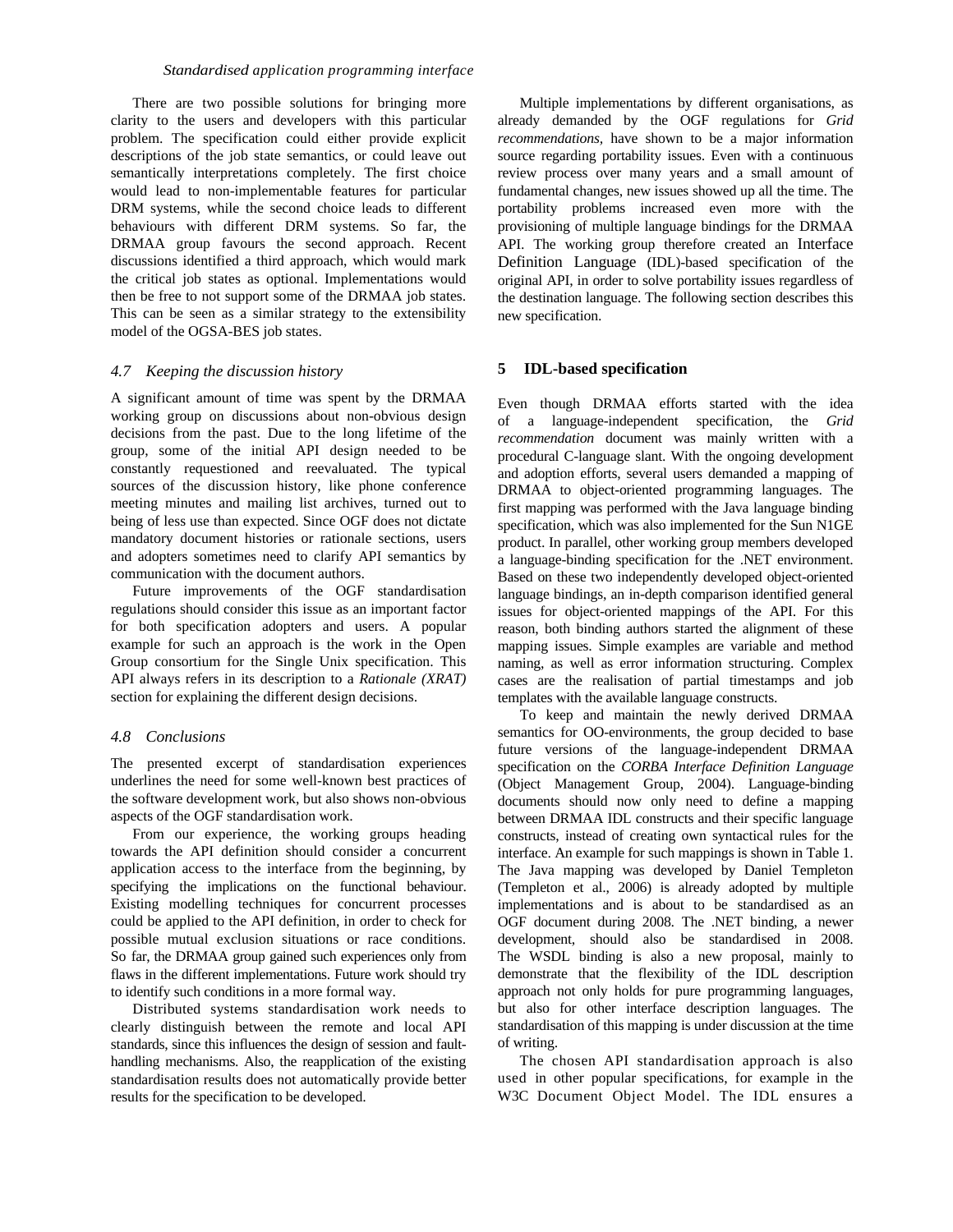There are two possible solutions for bringing more clarity to the users and developers with this particular problem. The specification could either provide explicit descriptions of the job state semantics, or could leave out semantically interpretations completely. The first choice would lead to non-implementable features for particular DRM systems, while the second choice leads to different behaviours with different DRM systems. So far, the DRMAA group favours the second approach. Recent discussions identified a third approach, which would mark the critical job states as optional. Implementations would then be free to not support some of the DRMAA job states. This can be seen as a similar strategy to the extensibility model of the OGSA-BES job states.

#### *4.7 Keeping the discussion history*

A significant amount of time was spent by the DRMAA working group on discussions about non-obvious design decisions from the past. Due to the long lifetime of the group, some of the initial API design needed to be constantly requestioned and reevaluated. The typical sources of the discussion history, like phone conference meeting minutes and mailing list archives, turned out to being of less use than expected. Since OGF does not dictate mandatory document histories or rationale sections, users and adopters sometimes need to clarify API semantics by communication with the document authors.

Future improvements of the OGF standardisation regulations should consider this issue as an important factor for both specification adopters and users. A popular example for such an approach is the work in the Open Group consortium for the Single Unix specification. This API always refers in its description to a *Rationale (XRAT)*  section for explaining the different design decisions.

### *4.8 Conclusions*

The presented excerpt of standardisation experiences underlines the need for some well-known best practices of the software development work, but also shows non-obvious aspects of the OGF standardisation work.

From our experience, the working groups heading towards the API definition should consider a concurrent application access to the interface from the beginning, by specifying the implications on the functional behaviour. Existing modelling techniques for concurrent processes could be applied to the API definition, in order to check for possible mutual exclusion situations or race conditions. So far, the DRMAA group gained such experiences only from flaws in the different implementations. Future work should try to identify such conditions in a more formal way.

Distributed systems standardisation work needs to clearly distinguish between the remote and local API standards, since this influences the design of session and faulthandling mechanisms. Also, the reapplication of the existing standardisation results does not automatically provide better results for the specification to be developed.

Multiple implementations by different organisations, as already demanded by the OGF regulations for *Grid recommendations,* have shown to be a major information source regarding portability issues. Even with a continuous review process over many years and a small amount of fundamental changes, new issues showed up all the time. The portability problems increased even more with the provisioning of multiple language bindings for the DRMAA API. The working group therefore created an Interface Definition Language (IDL)-based specification of the original API, in order to solve portability issues regardless of the destination language. The following section describes this new specification.

#### **5 IDL-based specification**

Even though DRMAA efforts started with the idea of a language-independent specification, the *Grid recommendation* document was mainly written with a procedural C-language slant. With the ongoing development and adoption efforts, several users demanded a mapping of DRMAA to object-oriented programming languages. The first mapping was performed with the Java language binding specification, which was also implemented for the Sun N1GE product. In parallel, other working group members developed a language-binding specification for the .NET environment. Based on these two independently developed object-oriented language bindings, an in-depth comparison identified general issues for object-oriented mappings of the API. For this reason, both binding authors started the alignment of these mapping issues. Simple examples are variable and method naming, as well as error information structuring. Complex cases are the realisation of partial timestamps and job templates with the available language constructs.

To keep and maintain the newly derived DRMAA semantics for OO-environments, the group decided to base future versions of the language-independent DRMAA specification on the *CORBA Interface Definition Language*  (Object Management Group, 2004). Language-binding documents should now only need to define a mapping between DRMAA IDL constructs and their specific language constructs, instead of creating own syntactical rules for the interface. An example for such mappings is shown in Table 1. The Java mapping was developed by Daniel Templeton (Templeton et al., 2006) is already adopted by multiple implementations and is about to be standardised as an OGF document during 2008. The .NET binding, a newer development, should also be standardised in 2008. The WSDL binding is also a new proposal, mainly to demonstrate that the flexibility of the IDL description approach not only holds for pure programming languages, but also for other interface description languages. The standardisation of this mapping is under discussion at the time of writing.

The chosen API standardisation approach is also used in other popular specifications, for example in the W3C Document Object Model. The IDL ensures a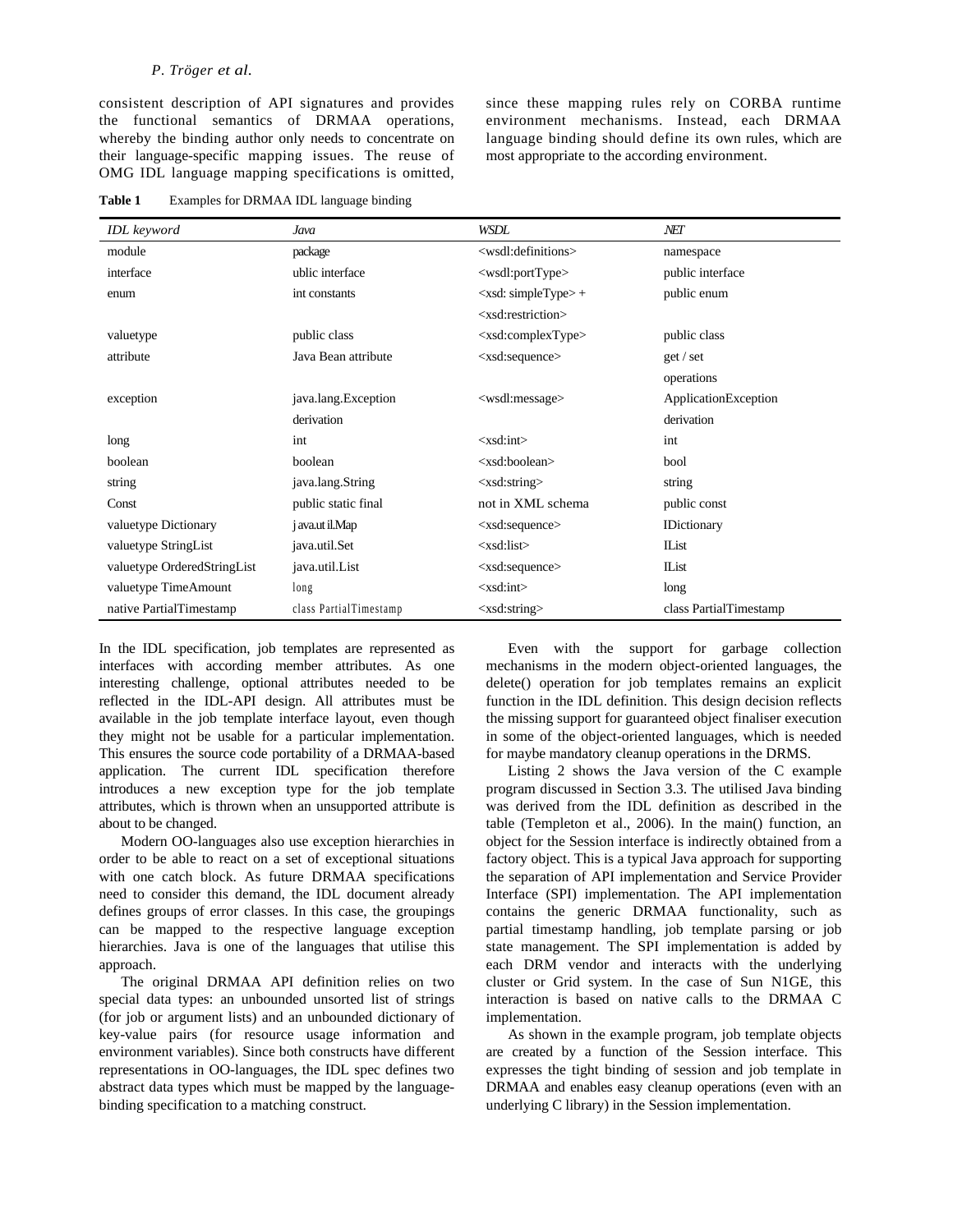consistent description of API signatures and provides the functional semantics of DRMAA operations, whereby the binding author only needs to concentrate on their language-specific mapping issues. The reuse of OMG IDL language mapping specifications is omitted,

**Table 1** Examples for DRMAA IDL language binding

since these mapping rules rely on CORBA runtime environment mechanisms. Instead, each DRMAA language binding should define its own rules, which are most appropriate to the according environment.

| <b>IDL</b> keyword          | Java                   | WSDL                                       | NET                    |
|-----------------------------|------------------------|--------------------------------------------|------------------------|
| module                      | package                | <wsdl:definitions></wsdl:definitions>      | namespace              |
| interface                   | ublic interface        | <wsdl:porttype></wsdl:porttype>            | public interface       |
| enum                        | int constants          | $\langle xsd: simpleType \rangle +$        | public enum            |
|                             |                        | <xsd:restriction></xsd:restriction>        |                        |
| valuetype                   | public class           | $<$ xsd:complexType $>$                    | public class           |
| attribute                   | Java Bean attribute    | <xsd:sequence></xsd:sequence>              | get / set              |
|                             |                        |                                            | operations             |
| exception                   | java.lang.Exception    | <wsdl:message></wsdl:message>              | ApplicationException   |
|                             | derivation             |                                            | derivation             |
| long                        | int                    | $<$ xsd:int $>$                            | int                    |
| boolean                     | boolean                | $\langle x\text{sd}:\text{boolean}\rangle$ | bool                   |
| string                      | java.lang.String       | $<$ xsd:string>                            | string                 |
| Const                       | public static final    | not in XML schema                          | public const           |
| valuetype Dictionary        | j ava.ut il.Map        | $<$ xsd:sequence $>$                       | <b>IDictionary</b>     |
| valuetype StringList        | java.util.Set          | $<$ xsd:list $>$                           | <b>IList</b>           |
| valuetype OrderedStringList | java.util.List         | $<$ xsd:sequence $>$                       | <b>IList</b>           |
| valuetype TimeAmount        | long                   | $<$ xsd:int $>$                            | long                   |
| native PartialTimestamp     | class PartialTimestamp | $<$ xsd:string>                            | class PartialTimestamp |

In the IDL specification, job templates are represented as interfaces with according member attributes. As one interesting challenge, optional attributes needed to be reflected in the IDL-API design. All attributes must be available in the job template interface layout, even though they might not be usable for a particular implementation. This ensures the source code portability of a DRMAA-based application. The current IDL specification therefore introduces a new exception type for the job template attributes, which is thrown when an unsupported attribute is about to be changed.

Modern OO-languages also use exception hierarchies in order to be able to react on a set of exceptional situations with one catch block. As future DRMAA specifications need to consider this demand, the IDL document already defines groups of error classes. In this case, the groupings can be mapped to the respective language exception hierarchies. Java is one of the languages that utilise this approach.

The original DRMAA API definition relies on two special data types: an unbounded unsorted list of strings (for job or argument lists) and an unbounded dictionary of key-value pairs (for resource usage information and environment variables). Since both constructs have different representations in OO-languages, the IDL spec defines two abstract data types which must be mapped by the languagebinding specification to a matching construct.

Even with the support for garbage collection mechanisms in the modern object-oriented languages, the delete() operation for job templates remains an explicit function in the IDL definition. This design decision reflects the missing support for guaranteed object finaliser execution in some of the object-oriented languages, which is needed for maybe mandatory cleanup operations in the DRMS.

Listing 2 shows the Java version of the C example program discussed in Section 3.3. The utilised Java binding was derived from the IDL definition as described in the table (Templeton et al., 2006). In the main() function, an object for the Session interface is indirectly obtained from a factory object. This is a typical Java approach for supporting the separation of API implementation and Service Provider Interface (SPI) implementation. The API implementation contains the generic DRMAA functionality, such as partial timestamp handling, job template parsing or job state management. The SPI implementation is added by each DRM vendor and interacts with the underlying cluster or Grid system. In the case of Sun N1GE, this interaction is based on native calls to the DRMAA C implementation.

As shown in the example program, job template objects are created by a function of the Session interface. This expresses the tight binding of session and job template in DRMAA and enables easy cleanup operations (even with an underlying C library) in the Session implementation.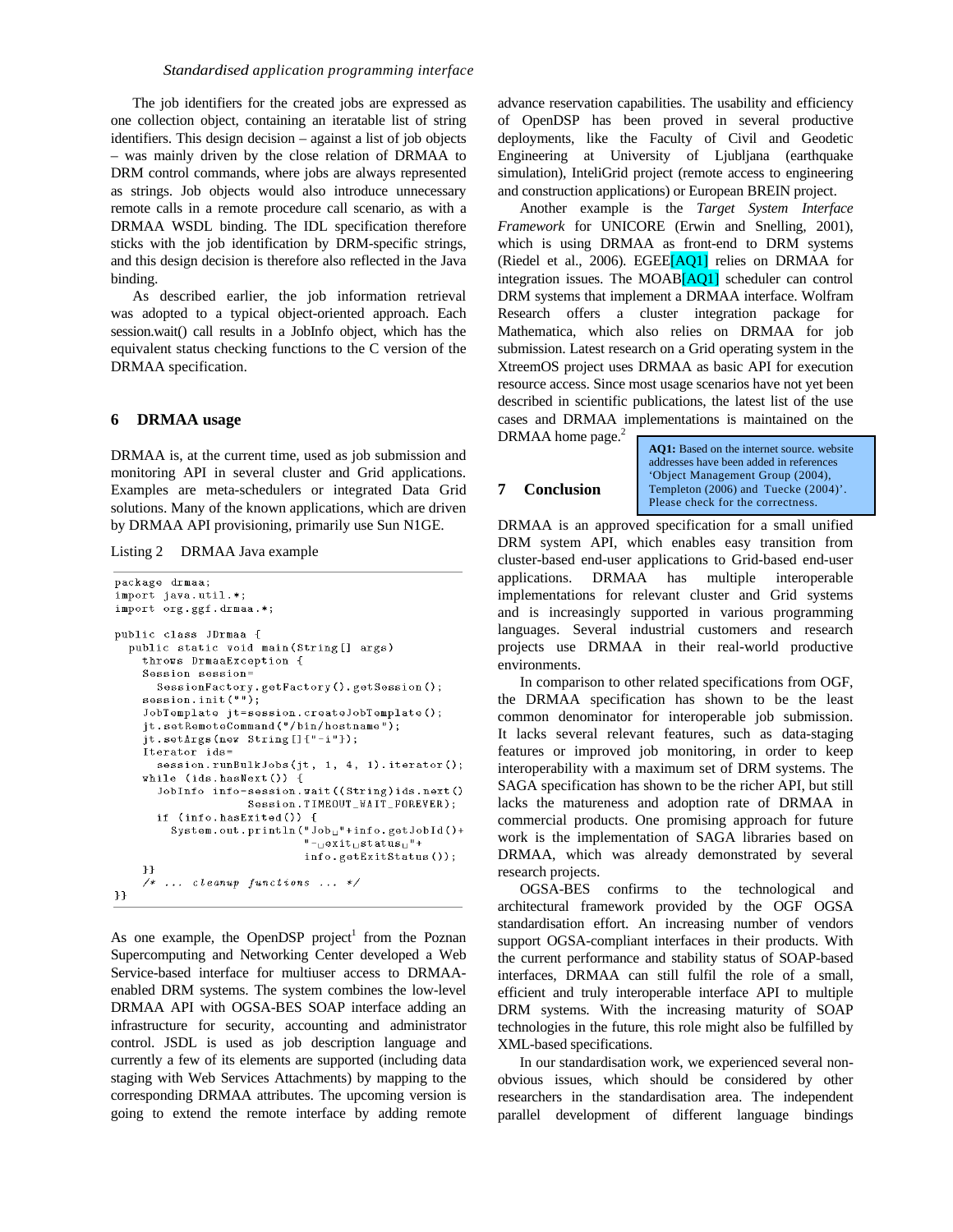The job identifiers for the created jobs are expressed as one collection object, containing an iteratable list of string identifiers. This design decision – against a list of job objects – was mainly driven by the close relation of DRMAA to DRM control commands, where jobs are always represented as strings. Job objects would also introduce unnecessary remote calls in a remote procedure call scenario, as with a DRMAA WSDL binding. The IDL specification therefore sticks with the job identification by DRM-specific strings, and this design decision is therefore also reflected in the Java binding.

As described earlier, the job information retrieval was adopted to a typical object-oriented approach. Each session.wait() call results in a JobInfo object, which has the equivalent status checking functions to the C version of the DRMAA specification.

#### **6 DRMAA usage**

DRMAA is, at the current time, used as job submission and monitoring API in several cluster and Grid applications. Examples are meta-schedulers or integrated Data Grid solutions. Many of the known applications, which are driven by DRMAA API provisioning, primarily use Sun N1GE.

Listing 2 DRMAA Java example

```
package drmaa;
import java.util.*;
import org.ggf.drmaa.*;
public class JDrmaa {
  public static void main (String [] args)
    throws DrmaaException {
    Session session=
      SessionFactory.getFactory().getSession();
    session.init("");
    JobTemplate jt=session.createJobTemplate();
    jt.setRemoteCommand("/bin/hostname");
    jt.setArgs(new String [] {"-i"});
    Iterator ids=
      session.runBulkJobs(jt, 1, 4, 1).iterator();
    while (ids.hasNext()) {
       JobInfo info=session.wait((String)ids.next()
                     Session.TIMEOUT_WAIT_FOREVER);
      if (info.hasExited()) {
         System.out.println("Job<sub>u</sub>"+info.getJobId()+
                               "-<sub>H</sub>exit<sub>H</sub>status<sub>H</sub>"+
                              info.getExitStatus());
    \mathcal{H}/* \ldots cleanup functions ... */
\mathcal{F}
```
As one example, the OpenDSP project<sup>1</sup> from the Poznan Supercomputing and Networking Center developed a Web Service-based interface for multiuser access to DRMAAenabled DRM systems. The system combines the low-level DRMAA API with OGSA-BES SOAP interface adding an infrastructure for security, accounting and administrator control. JSDL is used as job description language and currently a few of its elements are supported (including data staging with Web Services Attachments) by mapping to the corresponding DRMAA attributes. The upcoming version is going to extend the remote interface by adding remote

advance reservation capabilities. The usability and efficiency of OpenDSP has been proved in several productive deployments, like the Faculty of Civil and Geodetic Engineering at University of Ljubljana (earthquake simulation), InteliGrid project (remote access to engineering and construction applications) or European BREIN project.

Another example is the *Target System Interface Framework* for UNICORE (Erwin and Snelling, 2001), which is using DRMAA as front-end to DRM systems (Riedel et al., 2006). EGEE[AQ1] relies on DRMAA for integration issues. The MOAB[AQ1] scheduler can control DRM systems that implement a DRMAA interface. Wolfram Research offers a cluster integration package for Mathematica, which also relies on DRMAA for job submission. Latest research on a Grid operating system in the XtreemOS project uses DRMAA as basic API for execution resource access. Since most usage scenarios have not yet been described in scientific publications, the latest list of the use cases and DRMAA implementations is maintained on the

DRMAA home page.<sup>2</sup>

#### **7 Conclusion**

**AQ1:** Based on the internet source. website addresses have been added in references 'Object Management Group (2004), Templeton (2006) and Tuecke (2004)'. Please check for the correctness.

DRMAA is an approved specification for a small unified DRM system API, which enables easy transition from cluster-based end-user applications to Grid-based end-user applications. DRMAA has multiple interoperable implementations for relevant cluster and Grid systems and is increasingly supported in various programming languages. Several industrial customers and research projects use DRMAA in their real-world productive environments.

In comparison to other related specifications from OGF, the DRMAA specification has shown to be the least common denominator for interoperable job submission. It lacks several relevant features, such as data-staging features or improved job monitoring, in order to keep interoperability with a maximum set of DRM systems. The SAGA specification has shown to be the richer API, but still lacks the matureness and adoption rate of DRMAA in commercial products. One promising approach for future work is the implementation of SAGA libraries based on DRMAA, which was already demonstrated by several research projects.

OGSA-BES confirms to the technological and architectural framework provided by the OGF OGSA standardisation effort. An increasing number of vendors support OGSA-compliant interfaces in their products. With the current performance and stability status of SOAP-based interfaces, DRMAA can still fulfil the role of a small, efficient and truly interoperable interface API to multiple DRM systems. With the increasing maturity of SOAP technologies in the future, this role might also be fulfilled by XML-based specifications.

In our standardisation work, we experienced several nonobvious issues, which should be considered by other researchers in the standardisation area. The independent parallel development of different language bindings